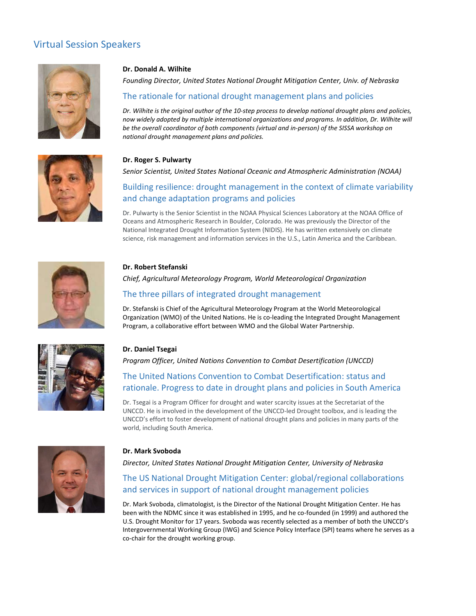## Virtual Session Speakers





#### Dr. Donald A. Wilhite

Founding Director, United States National Drought Mitigation Center, Univ. of Nebraska

Rers<br>The rational deal of the rational drought Mitigation Center, Univ. of Nebraska<br>The rationale for national drought management plans and policies<br>The rationale for national drought management plans and policies<br>The wide Dr. Wilhite is the original author of the 10-step process to develop national drought plans and policies, now widely adopted by multiple international organizations and programs. In addition, Dr. Wilhite will be the overall coordinator of both components (virtual and in-person) of the SISSA workshop on national drought management plans and policies. **Dr. Donald A. Wilhite**<br>Founding Director, United States National Drought Mitigation Center, Univ. of Nebraska<br>The rationale for national drought management plans and policies<br>on: Wilhels is the original outhor of the 10-s Rers<br> **Dr. Donald A. Wilhite**<br> **Founding Director, United States National Drought Mitigation Center, Univ. of Nebraska<br>
The rationale for national drought management plans and policies<br>
Dr. Wilhite is the original author o** The rationale for mational drought management plans and policies<br>
Dr. Wilhite is the original outhor of the 10-step process to develop notional drought plans and policies<br>
Dr. Wilhite is the original outhor of the 10-step

#### Dr. Roger S. Pulwarty

### Building resilience: drought management in the context of climate variability and change adaptation programs and policies

Dr. Pulwarty is the Senior Scientist in the NOAA Physical Sciences Laboratory at the NOAA Office of Oceans and Atmospheric Research in Boulder, Colorado. He was previously the Director of the science, risk management and information services in the U.S., Latin America and the Caribbean. Senior Scientist, United States National Oceanic and Atmospheric Administration (NOAA)<br>Building resilience: drought management in the context of climate variability<br>and change adaptation programs and policies<br>Oceans and At



#### Dr. Robert Stefanski

#### The three pillars of integrated drought management

Dr. Stefanski is Chief of the Agricultural Meteorology Program at the World Meteorological Organization (WMO) of the United Nations. He is co-leading the Integrated Drought Management Program, a collaborative effort between WMO and the Global Water Partnership.

#### Dr. Daniel Tsegai

### The United Nations Convention to Combat Desertification: status and rationale. Progress to date in drought plans and policies in South America

Dr. Tsegai is a Program Officer for drought and water scarcity issues at the Secretariat of the UNCCD. He is involved in the development of the UNCCD-led Drought toolbox, and is leading the UNCCD's effort to foster development of national drought plans and policies in many parts of the world, including South America.



#### Dr. Mark Svoboda

Director, United States National Drought Mitigation Center, University of Nebraska

#### The US National Drought Mitigation Center: global/regional collaborations and services in support of national drought management policies

Dr. Mark Svoboda, climatologist, is the Director of the National Drought Mitigation Center. He has Urganization (wiwu) of the United Nations. He is co-leading the integrated prologin transagement<br>Program, a collaborative effort between wixo and the Global Water Partnership.<br>Dr. Daniel Tsegai<br>*Program Officer, United Nat* U.S. Drought Monitor for 17 years. Svoboda was recently selected as a member of both the UNCCD's Intergovernmental Working Group (IWG) and Science Policy Interface (SPI) teams where he serves as a co-chair for the drought working group.